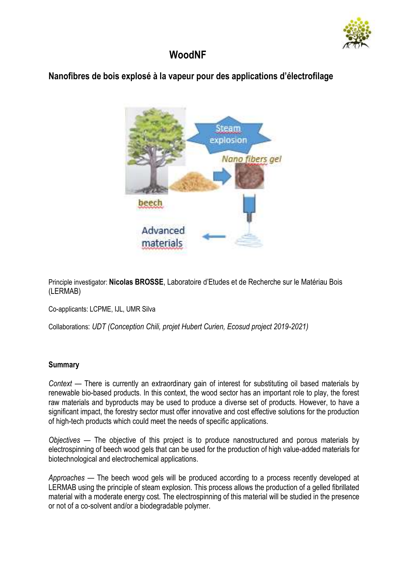

## **WoodNF**

## **Nanofibres de bois explosé à la vapeur pour des applications d'électrofilage**



Principle investigator: **Nicolas BROSSE**, Laboratoire d'Etudes et de Recherche sur le Matériau Bois (LERMAB)

Co-applicants: LCPME, IJL, UMR Silva

Collaborations: *UDT (Conception Chili, projet Hubert Curien, Ecosud project 2019-2021)*

## **Summary**

*Context* — There is currently an extraordinary gain of interest for substituting oil based materials by renewable bio-based products. In this context, the wood sector has an important role to play, the forest raw materials and byproducts may be used to produce a diverse set of products. However, to have a significant impact, the forestry sector must offer innovative and cost effective solutions for the production of high-tech products which could meet the needs of specific applications.

*Objectives* — The objective of this project is to produce nanostructured and porous materials by electrospinning of beech wood gels that can be used for the production of high value-added materials for biotechnological and electrochemical applications.

*Approaches* — The beech wood gels will be produced according to a process recently developed at LERMAB using the principle of steam explosion. This process allows the production of a gelled fibrillated material with a moderate energy cost. The electrospinning of this material will be studied in the presence or not of a co-solvent and/or a biodegradable polymer.